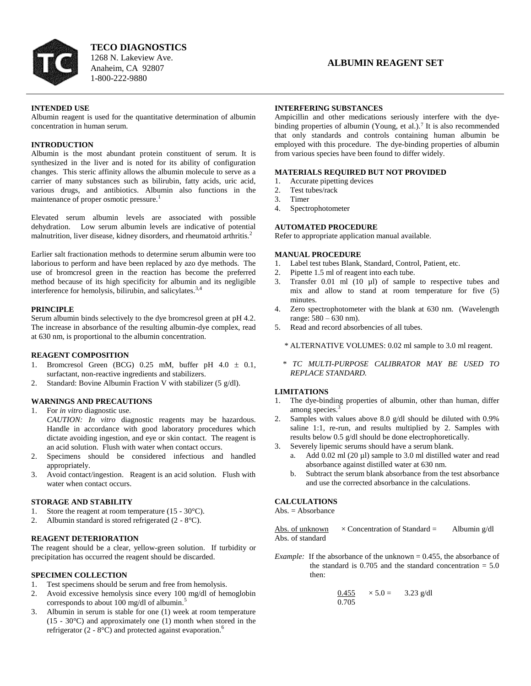

**TECO DIAGNOSTICS** 1268 N. Lakeview Ave. Anaheim, CA 92807 1-800-222-9880

### **INTENDED USE**

Albumin reagent is used for the quantitative determination of albumin concentration in human serum.

### **INTRODUCTION**

Albumin is the most abundant protein constituent of serum. It is synthesized in the liver and is noted for its ability of configuration changes. This steric affinity allows the albumin molecule to serve as a carrier of many substances such as bilirubin, fatty acids, uric acid, various drugs, and antibiotics. Albumin also functions in the maintenance of proper osmotic pressure.<sup>1</sup>

Elevated serum albumin levels are associated with possible dehydration. Low serum albumin levels are indicative of potential malnutrition, liver disease, kidney disorders, and rheumatoid arthritis.<sup>2</sup>

Earlier salt fractionation methods to determine serum albumin were too laborious to perform and have been replaced by azo dye methods. The use of bromcresol green in the reaction has become the preferred method because of its high specificity for albumin and its negligible interference for hemolysis, bilirubin, and salicylates.<sup>3,4</sup>

### **PRINCIPLE**

Serum albumin binds selectively to the dye bromcresol green at pH 4.2. The increase in absorbance of the resulting albumin-dye complex, read at 630 nm, is proportional to the albumin concentration.

### **REAGENT COMPOSITION**

- 1. Bromcresol Green (BCG) 0.25 mM, buffer pH  $4.0 \pm 0.1$ , surfactant, non-reactive ingredients and stabilizers.
- 2. Standard: Bovine Albumin Fraction V with stabilizer (5 g/dl).

## **WARNINGS AND PRECAUTIONS**

1. For *in vitro* diagnostic use.

*CAUTION: In vitro* diagnostic reagents may be hazardous. Handle in accordance with good laboratory procedures which dictate avoiding ingestion, and eye or skin contact. The reagent is an acid solution. Flush with water when contact occurs.

- 2. Specimens should be considered infectious and handled appropriately.
- 3. Avoid contact/ingestion. Reagent is an acid solution. Flush with water when contact occurs.

### **STORAGE AND STABILITY**

- 1. Store the reagent at room temperature (15 30°C).
- 2. Albumin standard is stored refrigerated (2 8°C).

## **REAGENT DETERIORATION**

The reagent should be a clear, yellow-green solution. If turbidity or precipitation has occurred the reagent should be discarded.

### **SPECIMEN COLLECTION**

- 1. Test specimens should be serum and free from hemolysis.
- 2. Avoid excessive hemolysis since every 100 mg/dl of hemoglobin corresponds to about 100 mg/dl of albumin.<sup>5</sup>
- 3. Albumin in serum is stable for one (1) week at room temperature (15 - 30°C) and approximately one (1) month when stored in the refrigerator  $(2 - 8^{\circ}C)$  and protected against evaporation.<sup>6</sup>

### **INTERFERING SUBSTANCES**

Ampicillin and other medications seriously interfere with the dyebinding properties of albumin (Young, et al.).<sup>7</sup> It is also recommended that only standards and controls containing human albumin be employed with this procedure. The dye-binding properties of albumin from various species have been found to differ widely.

## **MATERIALS REQUIRED BUT NOT PROVIDED**

- 1. Accurate pipetting devices
- 2. Test tubes/rack
- 3. Timer
- 4. Spectrophotometer

# **AUTOMATED PROCEDURE**

Refer to appropriate application manual available.

## **MANUAL PROCEDURE**

- 1. Label test tubes Blank, Standard, Control, Patient, etc.
- 2. Pipette 1.5 ml of reagent into each tube.
- 3. Transfer 0.01 ml (10 µl) of sample to respective tubes and mix and allow to stand at room temperature for five (5) minutes.
- 4. Zero spectrophotometer with the blank at 630 nm. (Wavelength range: 580 – 630 nm).
- 5. Read and record absorbencies of all tubes.
	- \* ALTERNATIVE VOLUMES: 0.02 ml sample to 3.0 ml reagent.
	- *\* TC MULTI-PURPOSE CALIBRATOR MAY BE USED TO REPLACE STANDARD.*

### **LIMITATIONS**

- 1. The dye-binding properties of albumin, other than human, differ among species.<sup>3</sup>
- 2. Samples with values above 8.0 g/dl should be diluted with 0.9% saline 1:1, re-run, and results multiplied by 2. Samples with results below 0.5 g/dl should be done electrophoretically.
- 3. Severely lipemic serums should have a serum blank.
	- a. Add 0.02 ml (20 µl) sample to 3.0 ml distilled water and read absorbance against distilled water at 630 nm.
	- b. Subtract the serum blank absorbance from the test absorbance and use the corrected absorbance in the calculations.

## **CALCULATIONS**

 $Abs. = Absorbance$ 

Abs. of unknown  $\times$  Concentration of Standard = Albumin g/dl Abs. of standard

*Example:* If the absorbance of the unknown = 0.455, the absorbance of the standard is 0.705 and the standard concentration  $= 5.0$ then:

$$
\frac{0.455}{0.705} \times 5.0 = 3.23 \text{ g/dl}
$$